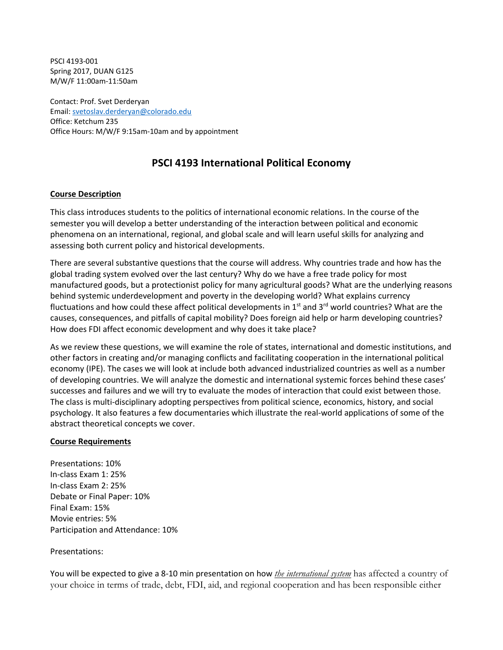PSCI 4193-001 Spring 2017, DUAN G125 M/W/F 11:00am-11:50am

Contact: Prof. Svet Derderyan Email: [svetoslav.derderyan@colorado.edu](mailto:svetoslav.derderyan@colorado.edu) Office: Ketchum 235 Office Hours: M/W/F 9:15am-10am and by appointment

# **PSCI 4193 International Political Economy**

## **Course Description**

This class introduces students to the politics of international economic relations. In the course of the semester you will develop a better understanding of the interaction between political and economic phenomena on an international, regional, and global scale and will learn useful skills for analyzing and assessing both current policy and historical developments.

There are several substantive questions that the course will address. Why countries trade and how has the global trading system evolved over the last century? Why do we have a free trade policy for most manufactured goods, but a protectionist policy for many agricultural goods? What are the underlying reasons behind systemic underdevelopment and poverty in the developing world? What explains currency fluctuations and how could these affect political developments in  $1<sup>st</sup>$  and  $3<sup>rd</sup>$  world countries? What are the causes, consequences, and pitfalls of capital mobility? Does foreign aid help or harm developing countries? How does FDI affect economic development and why does it take place?

As we review these questions, we will examine the role of states, international and domestic institutions, and other factors in creating and/or managing conflicts and facilitating cooperation in the international political economy (IPE). The cases we will look at include both advanced industrialized countries as well as a number of developing countries. We will analyze the domestic and international systemic forces behind these cases' successes and failures and we will try to evaluate the modes of interaction that could exist between those. The class is multi-disciplinary adopting perspectives from political science, economics, history, and social psychology. It also features a few documentaries which illustrate the real-world applications of some of the abstract theoretical concepts we cover.

#### **Course Requirements**

Presentations: 10% In-class Exam 1: 25% In-class Exam 2: 25% Debate or Final Paper: 10% Final Exam: 15% Movie entries: 5% Participation and Attendance: 10%

#### Presentations:

You will be expected to give a 8-10 min presentation on how *the international system* has affected a country of your choice in terms of trade, debt, FDI, aid, and regional cooperation and has been responsible either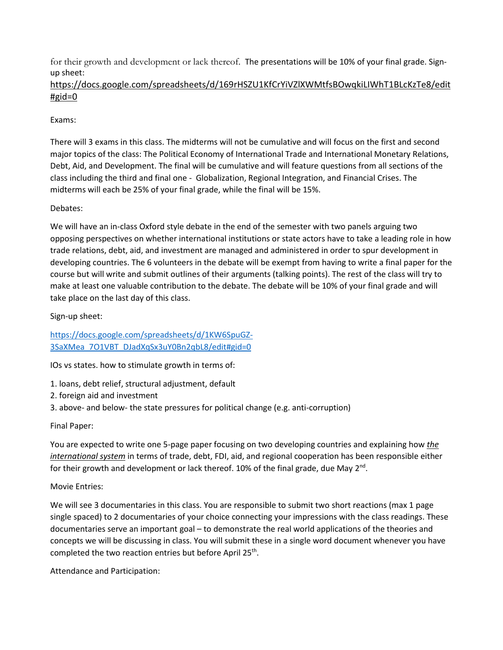for their growth and development or lack thereof. The presentations will be 10% of your final grade. Signup sheet:

# [https://docs.google.com/spreadsheets/d/169rHSZU1KfCrYiVZlXWMtfsBOwqkiLIWhT1BLcKzTe8/edit](https://docs.google.com/spreadsheets/d/169rHSZU1KfCrYiVZlXWMtfsBOwqkiLIWhT1BLcKzTe8/edit#gid=0) [#gid=0](https://docs.google.com/spreadsheets/d/169rHSZU1KfCrYiVZlXWMtfsBOwqkiLIWhT1BLcKzTe8/edit#gid=0)

# Exams:

There will 3 exams in this class. The midterms will not be cumulative and will focus on the first and second major topics of the class: The Political Economy of International Trade and International Monetary Relations, Debt, Aid, and Development. The final will be cumulative and will feature questions from all sections of the class including the third and final one - Globalization, Regional Integration, and Financial Crises. The midterms will each be 25% of your final grade, while the final will be 15%.

# Debates:

We will have an in-class Oxford style debate in the end of the semester with two panels arguing two opposing perspectives on whether international institutions or state actors have to take a leading role in how trade relations, debt, aid, and investment are managed and administered in order to spur development in developing countries. The 6 volunteers in the debate will be exempt from having to write a final paper for the course but will write and submit outlines of their arguments (talking points). The rest of the class will try to make at least one valuable contribution to the debate. The debate will be 10% of your final grade and will take place on the last day of this class.

Sign-up sheet:

[https://docs.google.com/spreadsheets/d/1KW6SpuGZ-](https://docs.google.com/spreadsheets/d/1KW6SpuGZ-3SaXMea_7O1VBT_DJadXqSx3uY0Bn2qbL8/edit#gid=0)[3SaXMea\\_7O1VBT\\_DJadXqSx3uY0Bn2qbL8/edit#gid=0](https://docs.google.com/spreadsheets/d/1KW6SpuGZ-3SaXMea_7O1VBT_DJadXqSx3uY0Bn2qbL8/edit#gid=0)

IOs vs states. how to stimulate growth in terms of:

- 1. loans, debt relief, structural adjustment, default
- 2. foreign aid and investment
- 3. above- and below- the state pressures for political change (e.g. anti-corruption)

Final Paper:

You are expected to write one 5-page paper focusing on two developing countries and explaining how *the international system* in terms of trade, debt, FDI, aid, and regional cooperation has been responsible either for their growth and development or lack thereof. 10% of the final grade, due May  $2^{nd}$ .

# Movie Entries:

We will see 3 documentaries in this class. You are responsible to submit two short reactions (max 1 page single spaced) to 2 documentaries of your choice connecting your impressions with the class readings. These documentaries serve an important goal – to demonstrate the real world applications of the theories and concepts we will be discussing in class. You will submit these in a single word document whenever you have completed the two reaction entries but before April 25<sup>th</sup>.

Attendance and Participation: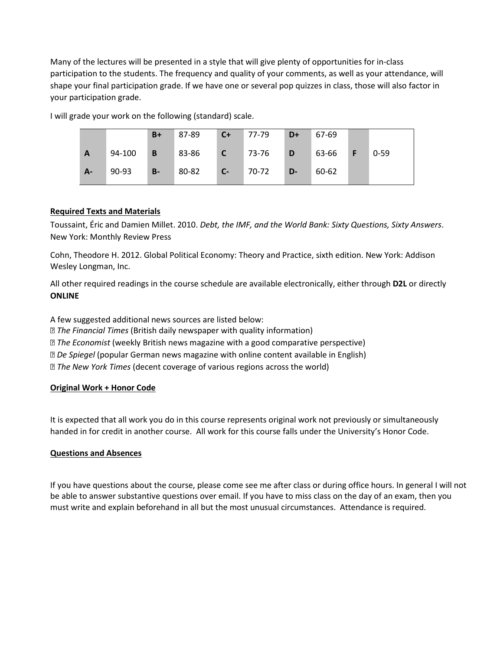Many of the lectures will be presented in a style that will give plenty of opportunities for in-class participation to the students. The frequency and quality of your comments, as well as your attendance, will shape your final participation grade. If we have one or several pop quizzes in class, those will also factor in your participation grade.

I will grade your work on the following (standard) scale.

|      |          | $B+$  | 87-89                | $C+$    | $77-79$ | $D+$         | 67-69     |          |
|------|----------|-------|----------------------|---------|---------|--------------|-----------|----------|
| A    | 94-100 B |       | 83-86 <b>C</b> 73-76 |         |         | D            | $63-66$ F | $0 - 59$ |
| $A-$ | 90-93    | $B -$ | 80-82                | $C - 7$ | 70-72   | $\sqrt{D-1}$ | 60-62     |          |

## **Required Texts and Materials**

Toussaint, Éric and Damien Millet. 2010. *Debt, the IMF, and the World Bank: Sixty Questions, Sixty Answers*. New York: Monthly Review Press

Cohn, Theodore H. 2012. Global Political Economy: Theory and Practice, sixth edition. New York: Addison Wesley Longman, Inc.

All other required readings in the course schedule are available electronically, either through **D2L** or directly **ONLINE**

A few suggested additional news sources are listed below:

- *The Financial Times* (British daily newspaper with quality information)
- *The Economist* (weekly British news magazine with a good comparative perspective)
- *De Spiegel* (popular German news magazine with online content available in English)

*The New York Times* (decent coverage of various regions across the world)

# **Original Work + Honor Code**

It is expected that all work you do in this course represents original work not previously or simultaneously handed in for credit in another course. All work for this course falls under the University's Honor Code.

#### **Questions and Absences**

If you have questions about the course, please come see me after class or during office hours. In general I will not be able to answer substantive questions over email. If you have to miss class on the day of an exam, then you must write and explain beforehand in all but the most unusual circumstances. Attendance is required.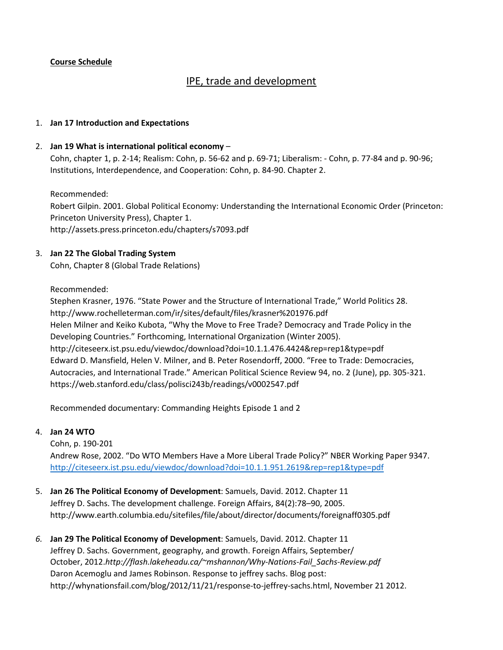# **Course Schedule**

# IPE, trade and development

#### 1. **Jan 17 Introduction and Expectations**

#### 2. **Jan 19 What is international political economy** –

Cohn, chapter 1, p. 2-14; Realism: Cohn, p. 56-62 and p. 69-71; Liberalism: - Cohn, p. 77-84 and p. 90-96; Institutions, Interdependence, and Cooperation: Cohn, p. 84-90. Chapter 2.

Recommended:

Robert Gilpin. 2001. Global Political Economy: Understanding the International Economic Order (Princeton: Princeton University Press), Chapter 1. http://assets.press.princeton.edu/chapters/s7093.pdf

#### 3. **Jan 22 The Global Trading System**

Cohn, Chapter 8 (Global Trade Relations)

Recommended:

Stephen Krasner, 1976. "State Power and the Structure of International Trade," World Politics 28. http://www.rochelleterman.com/ir/sites/default/files/krasner%201976.pdf Helen Milner and Keiko Kubota, "Why the Move to Free Trade? Democracy and Trade Policy in the Developing Countries." Forthcoming, International Organization (Winter 2005). http://citeseerx.ist.psu.edu/viewdoc/download?doi=10.1.1.476.4424&rep=rep1&type=pdf Edward D. Mansfield, Helen V. Milner, and B. Peter Rosendorff, 2000. "Free to Trade: Democracies, Autocracies, and International Trade." American Political Science Review 94, no. 2 (June), pp. 305-321. https://web.stanford.edu/class/polisci243b/readings/v0002547.pdf

Recommended documentary: Commanding Heights Episode 1 and 2

#### 4. **Jan 24 WTO**

Cohn, p. 190-201 Andrew Rose, 2002. "Do WTO Members Have a More Liberal Trade Policy?" NBER Working Paper 9347. <http://citeseerx.ist.psu.edu/viewdoc/download?doi=10.1.1.951.2619&rep=rep1&type=pdf>

- 5. **Jan 26 The Political Economy of Development**: Samuels, David. 2012. Chapter 11 Jeffrey D. Sachs. The development challenge. Foreign Affairs, 84(2):78–90, 2005. http://www.earth.columbia.edu/sitefiles/file/about/director/documents/foreignaff0305.pdf
- *6.* **Jan 29 The Political Economy of Development**: Samuels, David. 2012. Chapter 11 Jeffrey D. Sachs. Government, geography, and growth. Foreign Affairs, September/ October, 2012.*http://flash.lakeheadu.ca/~mshannon/Why-Nations-Fail\_Sachs-Review.pdf* Daron Acemoglu and James Robinson. Response to jeffrey sachs. Blog post: http://whynationsfail.com/blog/2012/11/21/response-to-jeffrey-sachs.html, November 21 2012.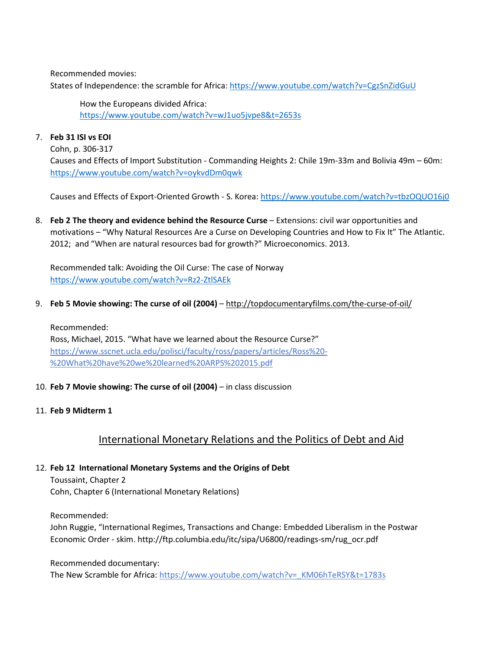Recommended movies:

States of Independence: the scramble for Africa[: https://www.youtube.com/watch?v=CgzSnZidGuU](https://www.youtube.com/watch?v=CgzSnZidGuU)

How the Europeans divided Africa: <https://www.youtube.com/watch?v=wJ1uo5jvpe8&t=2653s>

## 7. **Feb 31 ISI vs EOI**

Cohn, p. 306-317 Causes and Effects of Import Substitution - Commanding Heights 2: Chile 19m-33m and Bolivia 49m – 60m: <https://www.youtube.com/watch?v=oykvdDm0qwk>

Causes and Effects of Export-Oriented Growth - S. Korea:<https://www.youtube.com/watch?v=tbzOQUO16j0>

8. **Feb 2 The theory and evidence behind the Resource Curse** – Extensions: civil war opportunities and motivations – "Why Natural Resources Are a Curse on Developing Countries and How to Fix It" The Atlantic. 2012; and "When are natural resources bad for growth?" Microeconomics. 2013.

Recommended talk: Avoiding the Oil Curse: The case of Norway <https://www.youtube.com/watch?v=Rz2-ZtlSAEk>

9. **Feb 5 Movie showing: The curse of oil (2004)** – <http://topdocumentaryfilms.com/the-curse-of-oil/>

Recommended: Ross, Michael, 2015. "What have we learned about the Resource Curse?" https://www.sscnet.ucla.edu/polisci/faculty/ross/papers/articles/Ross%20- %20What%20have%20we%20learned%20ARPS%202015.pdf

10. **Feb 7 Movie showing: The curse of oil (2004)** – in class discussion

# 11. **Feb 9 Midterm 1**

# International Monetary Relations and the Politics of Debt and Aid

12. **Feb 12 International Monetary Systems and the Origins of Debt**

Toussaint, Chapter 2 Cohn, Chapter 6 (International Monetary Relations)

Recommended:

John Ruggie, "International Regimes, Transactions and Change: Embedded Liberalism in the Postwar Economic Order - skim. http://ftp.columbia.edu/itc/sipa/U6800/readings-sm/rug\_ocr.pdf

Recommended documentary:

The New Scramble for Africa: https://www.youtube.com/watch?v=\_KM06hTeRSY&t=1783s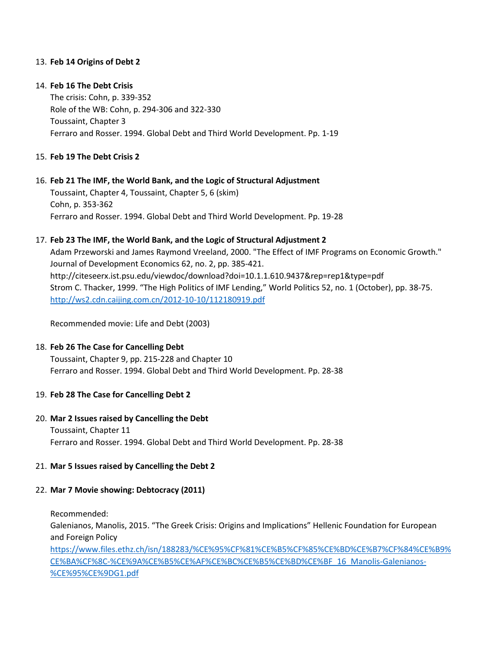## 13. **Feb 14 Origins of Debt 2**

### 14. **Feb 16 The Debt Crisis**

The crisis: Cohn, p. 339-352 Role of the WB: Cohn, p. 294-306 and 322-330 Toussaint, Chapter 3 Ferraro and Rosser. 1994. Global Debt and Third World Development. Pp. 1-19

#### 15. **Feb 19 The Debt Crisis 2**

#### 16. **Feb 21 The IMF, the World Bank, and the Logic of Structural Adjustment**

Toussaint, Chapter 4, Toussaint, Chapter 5, 6 (skim) Cohn, p. 353-362 Ferraro and Rosser. 1994. Global Debt and Third World Development. Pp. 19-28

#### 17. **Feb 23 The IMF, the World Bank, and the Logic of Structural Adjustment 2**

Adam Przeworski and James Raymond Vreeland, 2000. "The Effect of IMF Programs on Economic Growth." Journal of Development Economics 62, no. 2, pp. 385-421. http://citeseerx.ist.psu.edu/viewdoc/download?doi=10.1.1.610.9437&rep=rep1&type=pdf Strom C. Thacker, 1999. "The High Politics of IMF Lending," World Politics 52, no. 1 (October), pp. 38-75. <http://ws2.cdn.caijing.com.cn/2012-10-10/112180919.pdf>

Recommended movie: Life and Debt (2003)

#### 18. **Feb 26 The Case for Cancelling Debt**

Toussaint, Chapter 9, pp. 215-228 and Chapter 10 Ferraro and Rosser. 1994. Global Debt and Third World Development. Pp. 28-38

#### 19. **Feb 28 The Case for Cancelling Debt 2**

# 20. **Mar 2 Issues raised by Cancelling the Debt** Toussaint, Chapter 11 Ferraro and Rosser. 1994. Global Debt and Third World Development. Pp. 28-38

#### 21. **Mar 5 Issues raised by Cancelling the Debt 2**

#### 22. **Mar 7 Movie showing: Debtocracy (2011)**

Recommended:

Galenianos, Manolis, 2015. "The Greek Crisis: Origins and Implications" Hellenic Foundation for European and Foreign Policy

[https://www.files.ethz.ch/isn/188283/%CE%95%CF%81%CE%B5%CF%85%CE%BD%CE%B7%CF%84%CE%B9%](https://www.files.ethz.ch/isn/188283/%CE%95%CF%81%CE%B5%CF%85%CE%BD%CE%B7%CF%84%CE%B9%CE%BA%CF%8C-%CE%9A%CE%B5%CE%AF%CE%BC%CE%B5%CE%BD%CE%BF_16_Manolis-Galenianos-%CE%95%CE%9DG1.pdf) [CE%BA%CF%8C-%CE%9A%CE%B5%CE%AF%CE%BC%CE%B5%CE%BD%CE%BF\\_16\\_Manolis-Galenianos-](https://www.files.ethz.ch/isn/188283/%CE%95%CF%81%CE%B5%CF%85%CE%BD%CE%B7%CF%84%CE%B9%CE%BA%CF%8C-%CE%9A%CE%B5%CE%AF%CE%BC%CE%B5%CE%BD%CE%BF_16_Manolis-Galenianos-%CE%95%CE%9DG1.pdf) [%CE%95%CE%9DG1.pdf](https://www.files.ethz.ch/isn/188283/%CE%95%CF%81%CE%B5%CF%85%CE%BD%CE%B7%CF%84%CE%B9%CE%BA%CF%8C-%CE%9A%CE%B5%CE%AF%CE%BC%CE%B5%CE%BD%CE%BF_16_Manolis-Galenianos-%CE%95%CE%9DG1.pdf)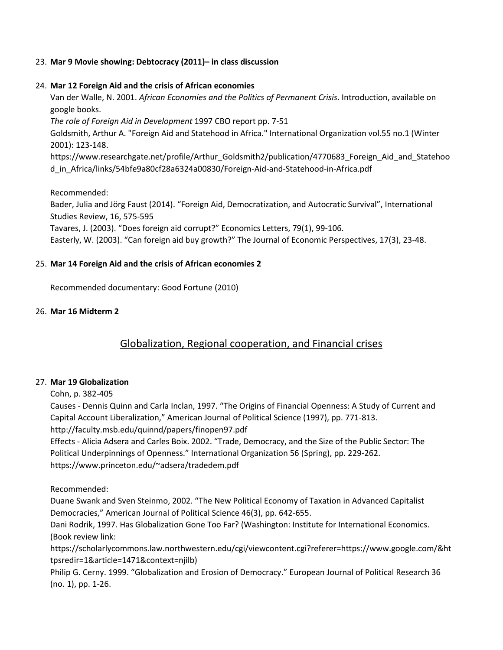## 23. **Mar 9 Movie showing: Debtocracy (2011)– in class discussion**

## 24. **Mar 12 Foreign Aid and the crisis of African economies**

Van der Walle, N. 2001. *African Economies and the Politics of Permanent Crisis*. Introduction, available on google books.

*The role of Foreign Aid in Development* 1997 CBO report pp. 7-51

Goldsmith, Arthur A. "Foreign Aid and Statehood in Africa." International Organization vol.55 no.1 (Winter 2001): 123-148.

https://www.researchgate.net/profile/Arthur\_Goldsmith2/publication/4770683\_Foreign\_Aid\_and\_Statehoo d\_in\_Africa/links/54bfe9a80cf28a6324a00830/Foreign-Aid-and-Statehood-in-Africa.pdf

Recommended:

Bader, Julia and Jörg Faust (2014). "Foreign Aid, Democratization, and Autocratic Survival", International Studies Review, 16, 575-595

Tavares, J. (2003). "Does foreign aid corrupt?" Economics Letters, 79(1), 99-106.

Easterly, W. (2003). "Can foreign aid buy growth?" The Journal of Economic Perspectives, 17(3), 23-48.

# 25. **Mar 14 Foreign Aid and the crisis of African economies 2**

Recommended documentary: Good Fortune (2010)

## 26. **Mar 16 Midterm 2**

# Globalization, Regional cooperation, and Financial crises

# 27. **Mar 19 Globalization**

Cohn, p. 382-405

Causes - Dennis Quinn and Carla Inclan, 1997. "The Origins of Financial Openness: A Study of Current and Capital Account Liberalization," American Journal of Political Science (1997), pp. 771-813. http://faculty.msb.edu/quinnd/papers/finopen97.pdf

Effects - Alicia Adsera and Carles Boix. 2002. "Trade, Democracy, and the Size of the Public Sector: The Political Underpinnings of Openness." International Organization 56 (Spring), pp. 229-262. https://www.princeton.edu/~adsera/tradedem.pdf

Recommended:

Duane Swank and Sven Steinmo, 2002. "The New Political Economy of Taxation in Advanced Capitalist Democracies," American Journal of Political Science 46(3), pp. 642-655.

Dani Rodrik, 1997. Has Globalization Gone Too Far? (Washington: Institute for International Economics. (Book review link:

https://scholarlycommons.law.northwestern.edu/cgi/viewcontent.cgi?referer=https://www.google.com/&ht tpsredir=1&article=1471&context=njilb)

Philip G. Cerny. 1999. "Globalization and Erosion of Democracy." European Journal of Political Research 36 (no. 1), pp. 1-26.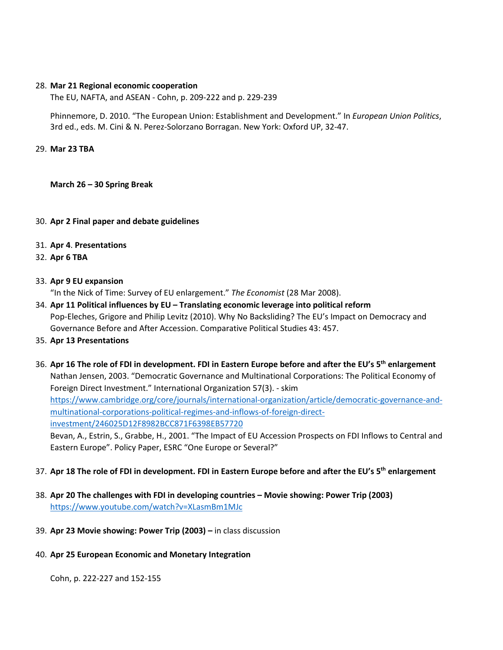#### 28. **Mar 21 Regional economic cooperation**

The EU, NAFTA, and ASEAN - Cohn, p. 209-222 and p. 229-239

Phinnemore, D. 2010. "The European Union: Establishment and Development." In *European Union Politics*, 3rd ed., eds. M. Cini & N. Perez-Solorzano Borragan. New York: Oxford UP, 32-47.

#### 29. **Mar 23 TBA**

**March 26 – 30 Spring Break**

#### 30. **Apr 2 Final paper and debate guidelines**

- 31. **Apr 4**. **Presentations**
- 32. **Apr 6 TBA**

#### 33. **Apr 9 EU expansion**

"In the Nick of Time: Survey of EU enlargement." *The Economist* (28 Mar 2008).

- 34. **Apr 11 Political influences by EU – Translating economic leverage into political reform**  Pop-Eleches, Grigore and Philip Levitz (2010). Why No Backsliding? The EU's Impact on Democracy and Governance Before and After Accession. Comparative Political Studies 43: 457.
- 35. **Apr 13 Presentations**
- 36. **Apr 16 The role of FDI in development. FDI in Eastern Europe before and after the EU's 5th enlargement**  Nathan Jensen, 2003. "Democratic Governance and Multinational Corporations: The Political Economy of Foreign Direct Investment." International Organization 57(3). - skim [https://www.cambridge.org/core/journals/international-organization/article/democratic-governance-and](https://www.cambridge.org/core/journals/international-organization/article/democratic-governance-and-multinational-corporations-political-regimes-and-inflows-of-foreign-direct-investment/246025D12F8982BCC871F6398EB57720)[multinational-corporations-political-regimes-and-inflows-of-foreign-direct](https://www.cambridge.org/core/journals/international-organization/article/democratic-governance-and-multinational-corporations-political-regimes-and-inflows-of-foreign-direct-investment/246025D12F8982BCC871F6398EB57720)[investment/246025D12F8982BCC871F6398EB57720](https://www.cambridge.org/core/journals/international-organization/article/democratic-governance-and-multinational-corporations-political-regimes-and-inflows-of-foreign-direct-investment/246025D12F8982BCC871F6398EB57720) Bevan, A., Estrin, S., Grabbe, H., 2001. "The Impact of EU Accession Prospects on FDI Inflows to Central and

Eastern Europe". Policy Paper, ESRC "One Europe or Several?"

#### 37. **Apr 18 The role of FDI in development. FDI in Eastern Europe before and after the EU's 5th enlargement**

- 38. **Apr 20 The challenges with FDI in developing countries – Movie showing: Power Trip (2003)** <https://www.youtube.com/watch?v=XLasmBm1MJc>
- 39. **Apr 23 Movie showing: Power Trip (2003) –** in class discussion

#### 40. **Apr 25 European Economic and Monetary Integration**

Cohn, p. 222-227 and 152-155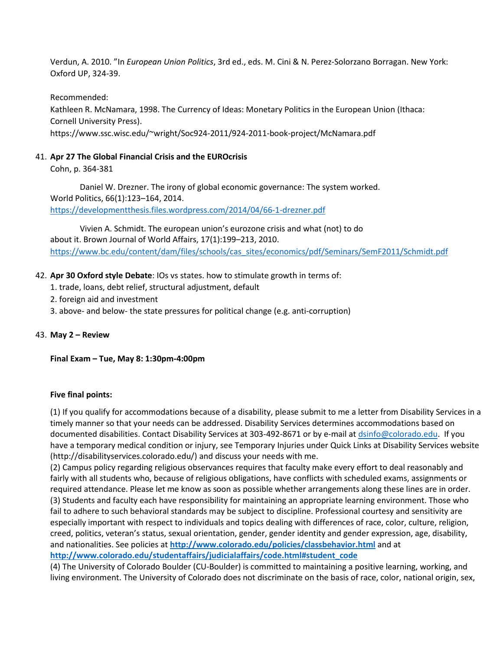Verdun, A. 2010. "In *European Union Politics*, 3rd ed., eds. M. Cini & N. Perez-Solorzano Borragan. New York: Oxford UP, 324-39.

Recommended:

Kathleen R. McNamara, 1998. The Currency of Ideas: Monetary Politics in the European Union (Ithaca: Cornell University Press). https://www.ssc.wisc.edu/~wright/Soc924-2011/924-2011-book-project/McNamara.pdf

## 41. **Apr 27 The Global Financial Crisis and the EUROcrisis**

Cohn, p. 364-381

Daniel W. Drezner. The irony of global economic governance: The system worked. World Politics, 66(1):123–164, 2014. <https://developmentthesis.files.wordpress.com/2014/04/66-1-drezner.pdf>

Vivien A. Schmidt. The european union's eurozone crisis and what (not) to do about it. Brown Journal of World Affairs, 17(1):199–213, 2010. [https://www.bc.edu/content/dam/files/schools/cas\\_sites/economics/pdf/Seminars/SemF2011/Schmidt.pdf](https://www.bc.edu/content/dam/files/schools/cas_sites/economics/pdf/Seminars/SemF2011/Schmidt.pdf)

## 42. **Apr 30 Oxford style Debate**: IOs vs states. how to stimulate growth in terms of:

- 1. trade, loans, debt relief, structural adjustment, default
- 2. foreign aid and investment
- 3. above- and below- the state pressures for political change (e.g. anti-corruption)

#### 43. **May 2 – Review**

**Final Exam – Tue, May 8: 1:30pm-4:00pm**

#### **Five final points:**

(1) If you qualify for accommodations because of a disability, please submit to me a letter from Disability Services in a timely manner so that your needs can be addressed. Disability Services determines accommodations based on documented disabilities. Contact Disability Services at 303-492-8671 or by e-mail at [dsinfo@colorado.edu.](mailto:dsinfo@colorado.edu) If you have a temporary medical condition or injury, see Temporary Injuries under Quick Links at Disability Services website (http://disabilityservices.colorado.edu/) and discuss your needs with me.

(2) Campus policy regarding religious observances requires that faculty make every effort to deal reasonably and fairly with all students who, because of religious obligations, have conflicts with scheduled exams, assignments or required attendance. Please let me know as soon as possible whether arrangements along these lines are in order. (3) Students and faculty each have responsibility for maintaining an appropriate learning environment. Those who fail to adhere to such behavioral standards may be subject to discipline. Professional courtesy and sensitivity are especially important with respect to individuals and topics dealing with differences of race, color, culture, religion, creed, politics, veteran's status, sexual orientation, gender, gender identity and gender expression, age, disability, and nationalities. See policies at **[http://www.colorado.edu/policies/classbehavior.html](https://exchange2007owa.colorado.edu/OWA/redir.aspx?C=HW6YyzRw9EyngWifx6mnBzzgRRCm49BI13CujSIACTH7F-u5-S9aOk_fo6kjrOKCj3EHEE1UhIY.&URL=http%3a%2f%2fwww.alumniconnections.com%2flinks%2flink.cgi%3fl%3d4781650%26h%3d13964%26e%3dUCBI-20130816173045)** and at **[http://www.colorado.edu/studentaffairs/judicialaffairs/code.html#student\\_code](https://exchange2007owa.colorado.edu/OWA/redir.aspx?C=HW6YyzRw9EyngWifx6mnBzzgRRCm49BI13CujSIACTH7F-u5-S9aOk_fo6kjrOKCj3EHEE1UhIY.&URL=http%3a%2f%2fwww.alumniconnections.com%2flinks%2flink.cgi%3fl%3d4781651%26h%3d13964%26e%3dUCBI-20130816173045)**

(4) The University of Colorado Boulder (CU-Boulder) is committed to maintaining a positive learning, working, and living environment. The University of Colorado does not discriminate on the basis of race, color, national origin, sex,